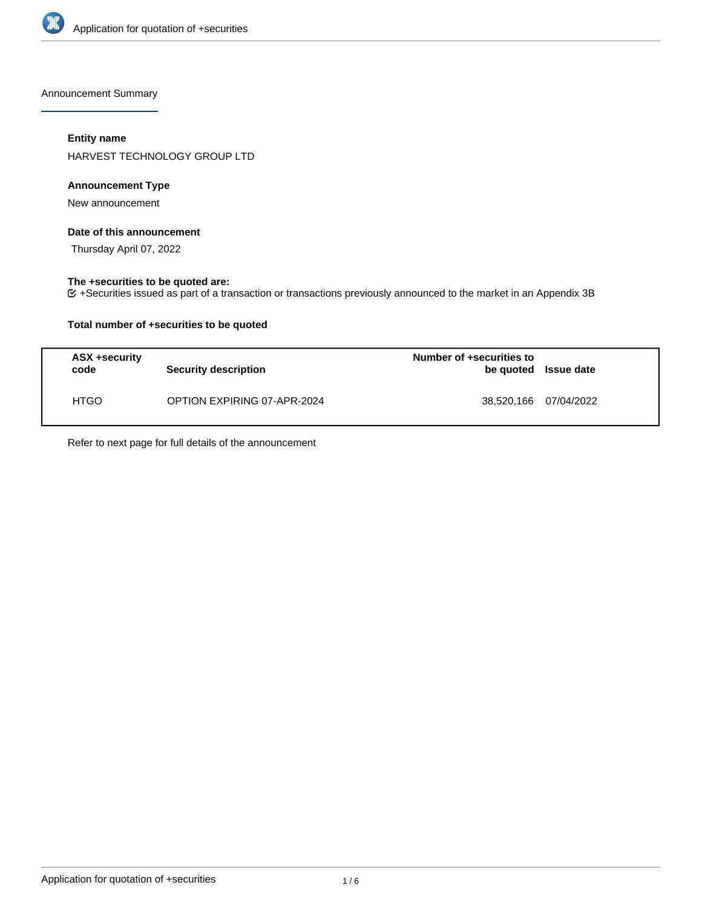

Announcement Summary

# **Entity name**

HARVEST TECHNOLOGY GROUP LTD

# **Announcement Type**

New announcement

# **Date of this announcement**

Thursday April 07, 2022

# **The +securities to be quoted are:**

+Securities issued as part of a transaction or transactions previously announced to the market in an Appendix 3B

# **Total number of +securities to be quoted**

| ASX +security<br>code | Security description        | Number of +securities to<br>be quoted Issue date |  |
|-----------------------|-----------------------------|--------------------------------------------------|--|
| <b>HTGO</b>           | OPTION EXPIRING 07-APR-2024 | 38,520,166 07/04/2022                            |  |

Refer to next page for full details of the announcement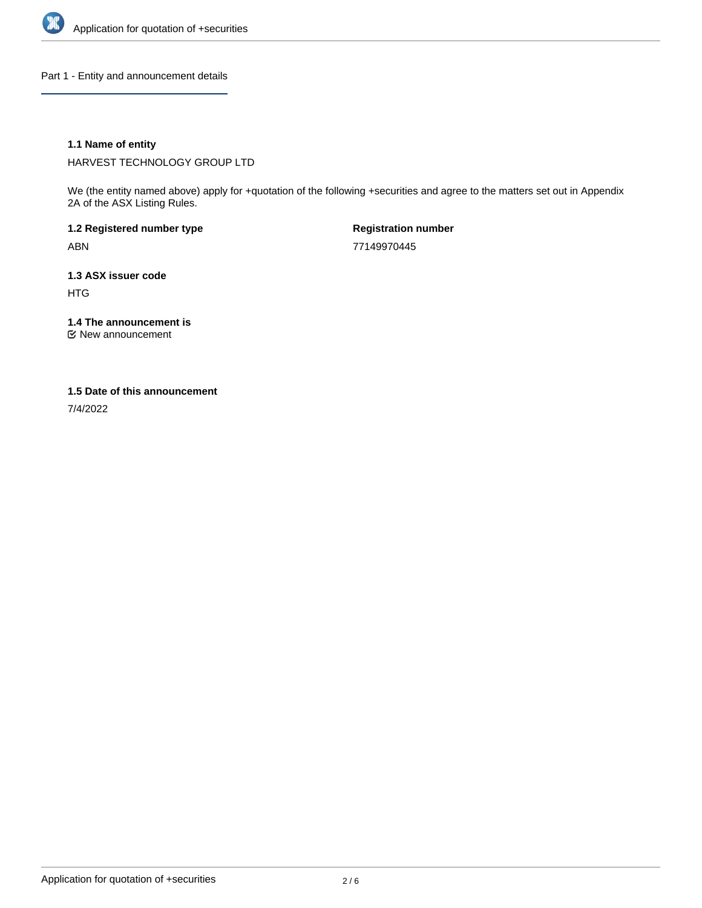

Part 1 - Entity and announcement details

# **1.1 Name of entity**

HARVEST TECHNOLOGY GROUP LTD

We (the entity named above) apply for +quotation of the following +securities and agree to the matters set out in Appendix 2A of the ASX Listing Rules.

**1.2 Registered number type** ABN

**Registration number** 77149970445

**1.3 ASX issuer code** HTG

**1.4 The announcement is**

New announcement

### **1.5 Date of this announcement**

7/4/2022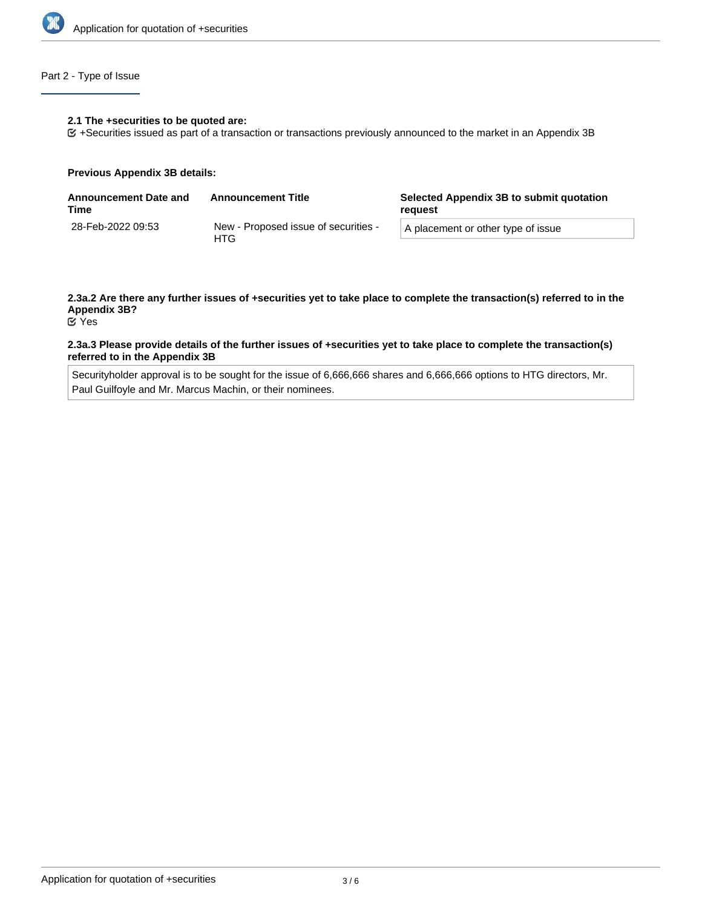

# Part 2 - Type of Issue

#### **2.1 The +securities to be quoted are:**

+Securities issued as part of a transaction or transactions previously announced to the market in an Appendix 3B

#### **Previous Appendix 3B details:**

| <b>Announcement Date and</b><br>Time | <b>Announcement Title</b>                    | Selected Appendix 3B to submit quotation<br>reauest |  |
|--------------------------------------|----------------------------------------------|-----------------------------------------------------|--|
| 28-Feb-2022 09:53                    | New - Proposed issue of securities -<br>HTG. | A placement or other type of issue                  |  |

# **2.3a.2 Are there any further issues of +securities yet to take place to complete the transaction(s) referred to in the Appendix 3B?**

Yes

#### **2.3a.3 Please provide details of the further issues of +securities yet to take place to complete the transaction(s) referred to in the Appendix 3B**

Securityholder approval is to be sought for the issue of 6,666,666 shares and 6,666,666 options to HTG directors, Mr. Paul Guilfoyle and Mr. Marcus Machin, or their nominees.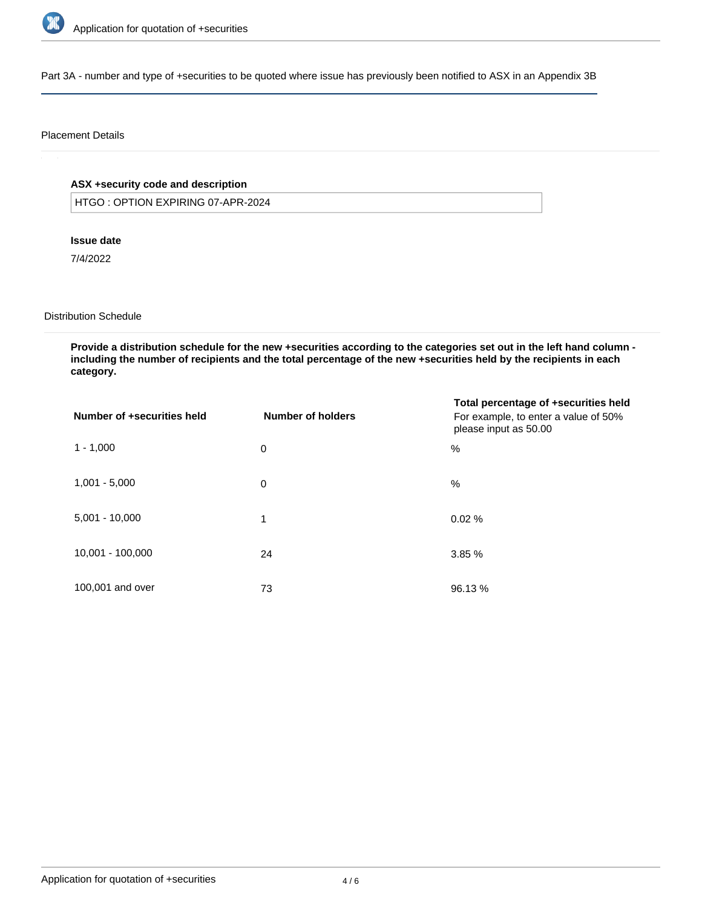

Part 3A - number and type of +securities to be quoted where issue has previously been notified to ASX in an Appendix 3B

### Placement Details

# **ASX +security code and description**

HTGO : OPTION EXPIRING 07-APR-2024

### **Issue date**

7/4/2022

# Distribution Schedule

**Provide a distribution schedule for the new +securities according to the categories set out in the left hand column including the number of recipients and the total percentage of the new +securities held by the recipients in each category.**

| Number of +securities held | Number of holders | Total percentage of +securities held<br>For example, to enter a value of 50%<br>please input as 50.00 |
|----------------------------|-------------------|-------------------------------------------------------------------------------------------------------|
| $1 - 1,000$                | 0                 | $\frac{0}{0}$                                                                                         |
| $1,001 - 5,000$            | $\mathbf 0$       | $\%$                                                                                                  |
| $5,001 - 10,000$           | 1                 | 0.02%                                                                                                 |
| 10,001 - 100,000           | 24                | 3.85%                                                                                                 |
| 100,001 and over           | 73                | 96.13 %                                                                                               |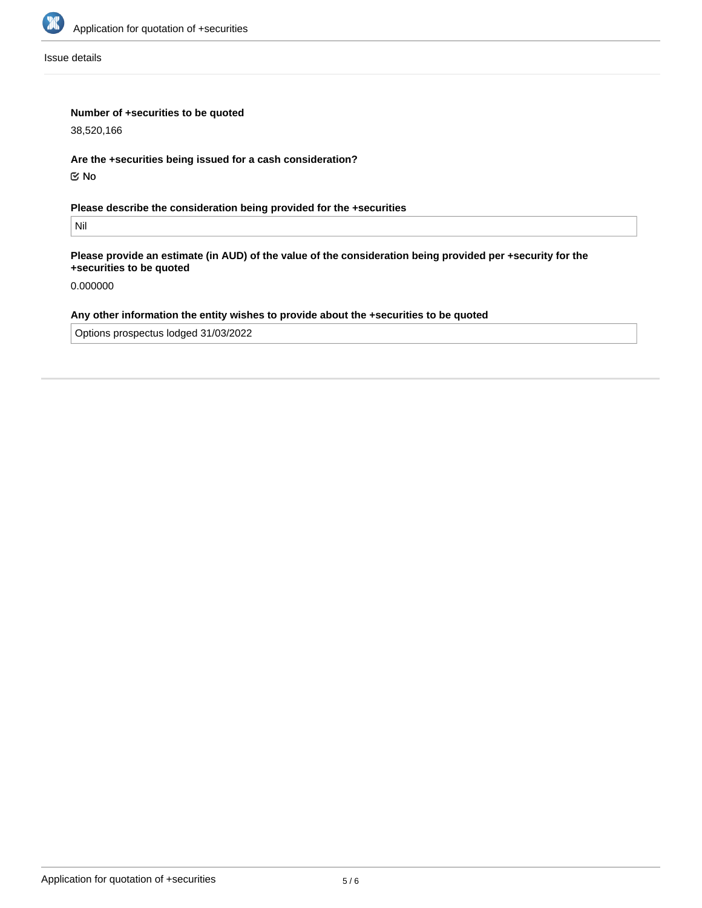

Issue details

# **Number of +securities to be quoted**

38,520,166

**Are the +securities being issued for a cash consideration?** No

**Please describe the consideration being provided for the +securities**

Nil

**Please provide an estimate (in AUD) of the value of the consideration being provided per +security for the +securities to be quoted**

0.000000

# **Any other information the entity wishes to provide about the +securities to be quoted**

Options prospectus lodged 31/03/2022